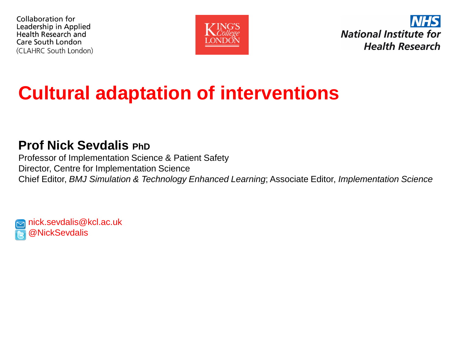



### **Cultural adaptation of interventions**

#### **Prof Nick Sevdalis PhD**

Professor of Implementation Science & Patient Safety Director, Centre for Implementation Science Chief Editor, *BMJ Simulation & Technology Enhanced Learning*; Associate Editor, *Implementation Science*

nick.sevdalis@kcl.ac.uk **NickSevdalis**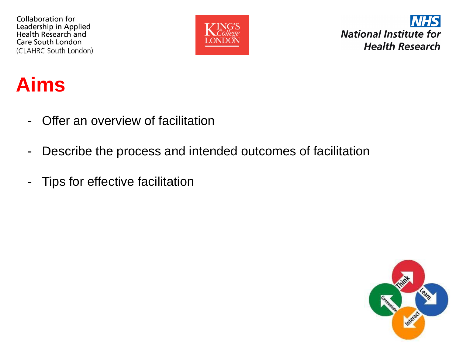

**National Institute for Health Research** 

#### **Aims**

- Offer an overview of facilitation
- Describe the process and intended outcomes of facilitation
- Tips for effective facilitation

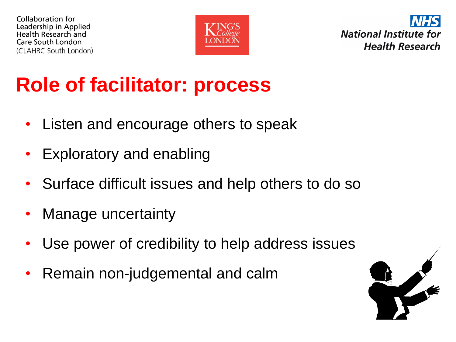



# **Role of facilitator: process**

- Listen and encourage others to speak
- Exploratory and enabling
- Surface difficult issues and help others to do so
- Manage uncertainty
- Use power of credibility to help address issues
- Remain non-judgemental and calm

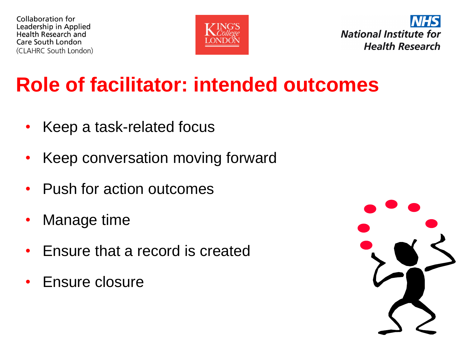



## **Role of facilitator: intended outcomes**

- Keep a task-related focus
- Keep conversation moving forward
- Push for action outcomes
- Manage time
- Ensure that a record is created
- Ensure closure

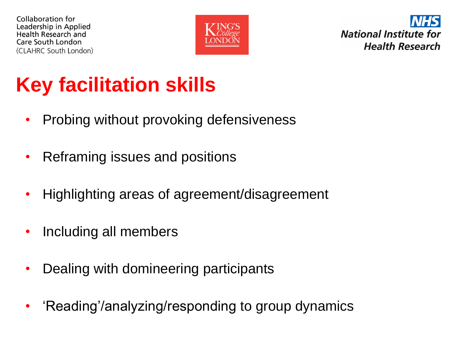

**National Institute for Health Research** 

# **Key facilitation skills**

- Probing without provoking defensiveness
- Reframing issues and positions
- Highlighting areas of agreement/disagreement
- Including all members
- Dealing with domineering participants
- 'Reading'/analyzing/responding to group dynamics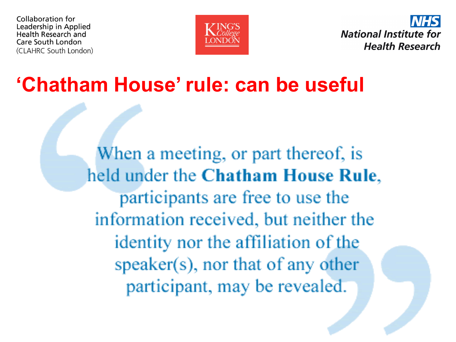



### **'Chatham House' rule: can be useful**

When a meeting, or part thereof, is held under the Chatham House Rule, participants are free to use the information received, but neither the identity nor the affiliation of the  $speaker(s)$ , nor that of any other participant, may be revealed.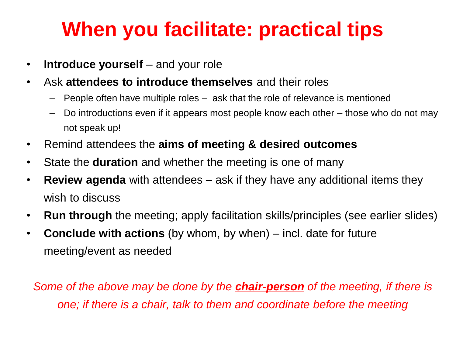## **When you facilitate: practical tips**

- **Introduce yourself** and your role
- Ask **attendees to introduce themselves** and their roles
	- People often have multiple roles ask that the role of relevance is mentioned
	- Do introductions even if it appears most people know each other those who do not may not speak up!
- Remind attendees the **aims of meeting & desired outcomes**
- State the **duration** and whether the meeting is one of many
- **Review agenda** with attendees ask if they have any additional items they wish to discuss
- **Run through** the meeting; apply facilitation skills/principles (see earlier slides)
- **Conclude with actions** (by whom, by when) incl. date for future meeting/event as needed

*Some of the above may be done by the chair-person of the meeting, if there is one; if there is a chair, talk to them and coordinate before the meeting*